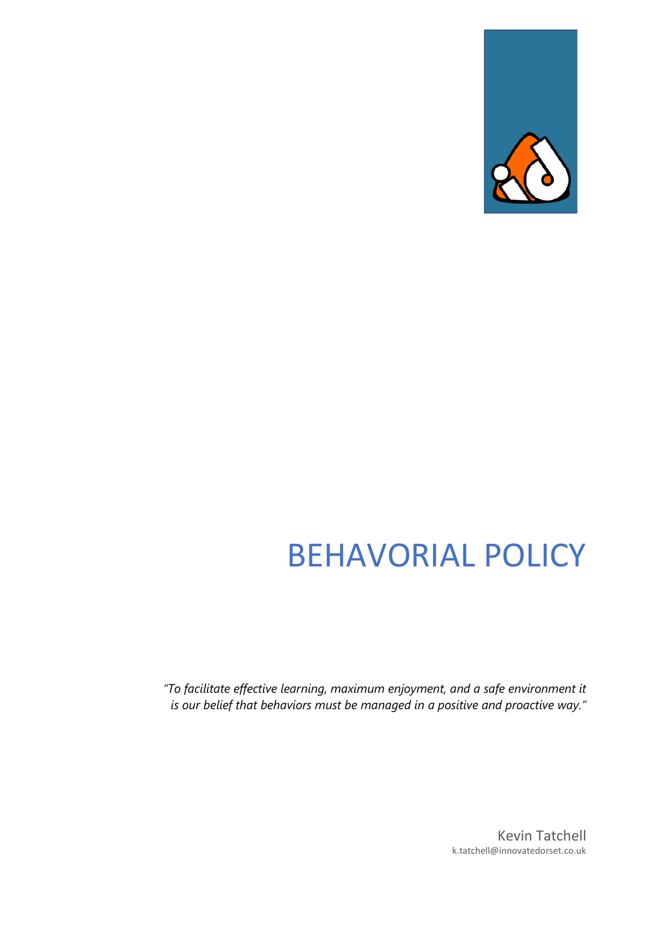

# BEHAVORIAL POLICY

*"To facilitate effective learning, maximum enjoyment, and a safe environment it is our belief that behaviors must be managed in a positive and proactive way."*

> Kevin Tatchell k.tatchell@innovatedorset.co.uk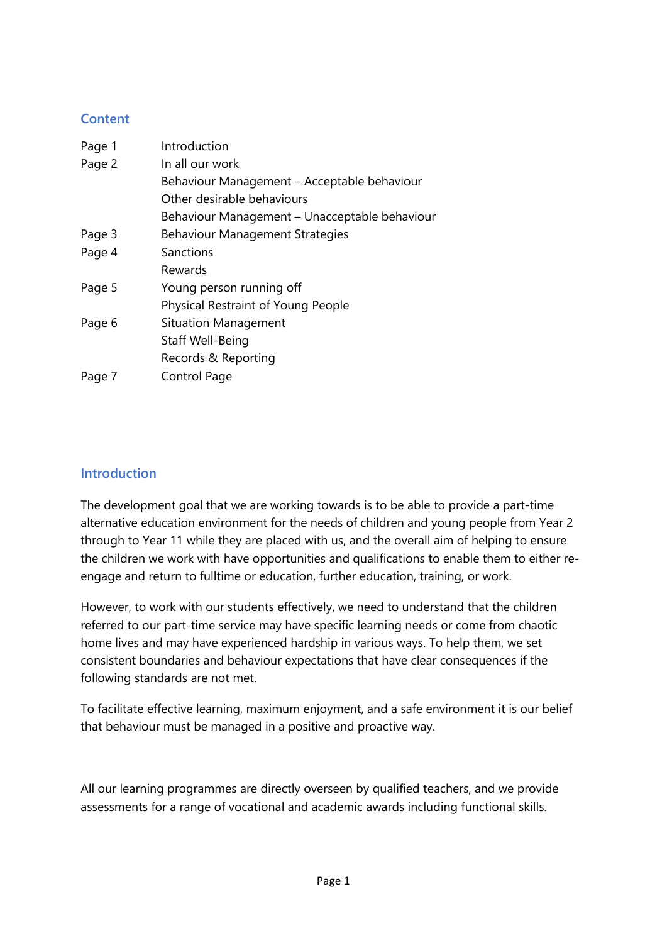## **Content**

| Page 1 | Introduction                                  |
|--------|-----------------------------------------------|
| Page 2 | In all our work                               |
|        | Behaviour Management – Acceptable behaviour   |
|        | Other desirable behaviours                    |
|        | Behaviour Management - Unacceptable behaviour |
| Page 3 | <b>Behaviour Management Strategies</b>        |
| Page 4 | Sanctions                                     |
|        | Rewards                                       |
| Page 5 | Young person running off                      |
|        | <b>Physical Restraint of Young People</b>     |
| Page 6 | <b>Situation Management</b>                   |
|        | Staff Well-Being                              |
|        | Records & Reporting                           |
| Page 7 | Control Page                                  |

## **Introduction**

The development goal that we are working towards is to be able to provide a part-time alternative education environment for the needs of children and young people from Year 2 through to Year 11 while they are placed with us, and the overall aim of helping to ensure the children we work with have opportunities and qualifications to enable them to either reengage and return to fulltime or education, further education, training, or work.

However, to work with our students effectively, we need to understand that the children referred to our part-time service may have specific learning needs or come from chaotic home lives and may have experienced hardship in various ways. To help them, we set consistent boundaries and behaviour expectations that have clear consequences if the following standards are not met.

To facilitate effective learning, maximum enjoyment, and a safe environment it is our belief that behaviour must be managed in a positive and proactive way.

All our learning programmes are directly overseen by qualified teachers, and we provide assessments for a range of vocational and academic awards including functional skills.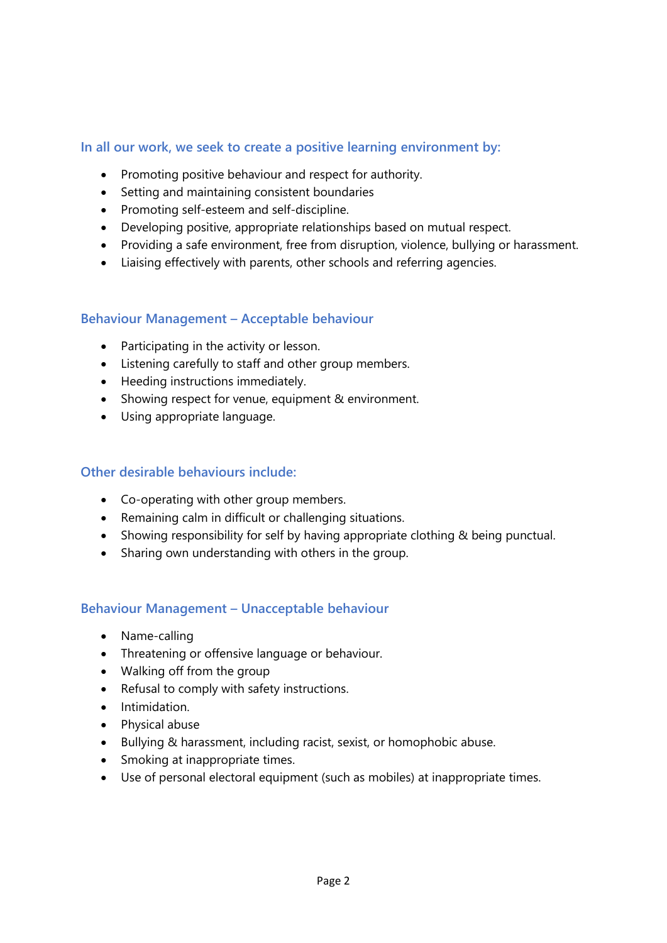## **In all our work, we seek to create a positive learning environment by:**

- Promoting positive behaviour and respect for authority.
- Setting and maintaining consistent boundaries
- Promoting self-esteem and self-discipline.
- Developing positive, appropriate relationships based on mutual respect.
- Providing a safe environment, free from disruption, violence, bullying or harassment.
- Liaising effectively with parents, other schools and referring agencies.

#### **Behaviour Management – Acceptable behaviour**

- Participating in the activity or lesson.
- Listening carefully to staff and other group members.
- Heeding instructions immediately.
- Showing respect for venue, equipment & environment.
- Using appropriate language.

#### **Other desirable behaviours include:**

- Co-operating with other group members.
- Remaining calm in difficult or challenging situations.
- Showing responsibility for self by having appropriate clothing & being punctual.
- Sharing own understanding with others in the group.

#### **Behaviour Management – Unacceptable behaviour**

- Name-calling
- Threatening or offensive language or behaviour.
- Walking off from the group
- Refusal to comply with safety instructions.
- Intimidation.
- Physical abuse
- Bullying & harassment, including racist, sexist, or homophobic abuse.
- Smoking at inappropriate times.
- Use of personal electoral equipment (such as mobiles) at inappropriate times.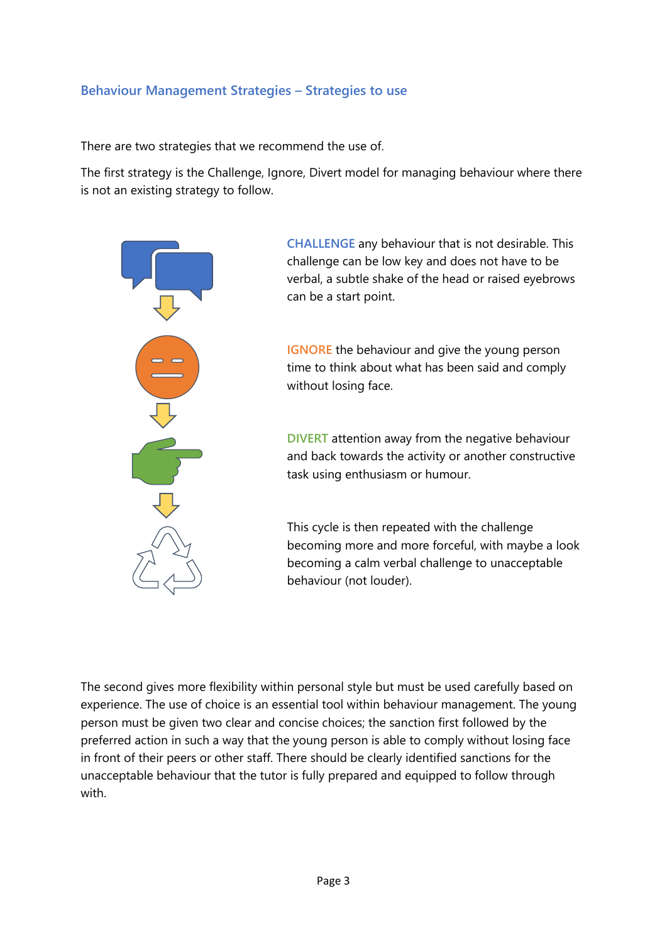#### **Behaviour Management Strategies – Strategies to use**

There are two strategies that we recommend the use of.

The first strategy is the Challenge, Ignore, Divert model for managing behaviour where there is not an existing strategy to follow.



**CHALLENGE** any behaviour that is not desirable. This challenge can be low key and does not have to be verbal, a subtle shake of the head or raised eyebrows can be a start point.

**IGNORE** the behaviour and give the young person time to think about what has been said and comply without losing face.

**DIVERT** attention away from the negative behaviour and back towards the activity or another constructive task using enthusiasm or humour.

This cycle is then repeated with the challenge becoming more and more forceful, with maybe a look becoming a calm verbal challenge to unacceptable behaviour (not louder).

The second gives more flexibility within personal style but must be used carefully based on experience. The use of choice is an essential tool within behaviour management. The young person must be given two clear and concise choices; the sanction first followed by the preferred action in such a way that the young person is able to comply without losing face in front of their peers or other staff. There should be clearly identified sanctions for the unacceptable behaviour that the tutor is fully prepared and equipped to follow through with.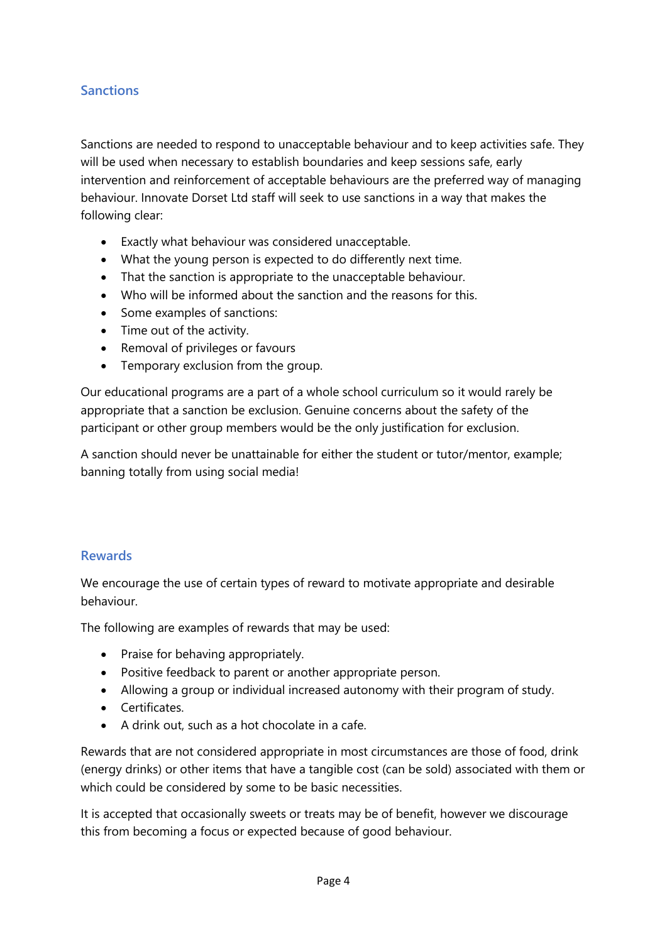## **Sanctions**

Sanctions are needed to respond to unacceptable behaviour and to keep activities safe. They will be used when necessary to establish boundaries and keep sessions safe, early intervention and reinforcement of acceptable behaviours are the preferred way of managing behaviour. Innovate Dorset Ltd staff will seek to use sanctions in a way that makes the following clear:

- Exactly what behaviour was considered unacceptable.
- What the young person is expected to do differently next time.
- That the sanction is appropriate to the unacceptable behaviour.
- Who will be informed about the sanction and the reasons for this.
- Some examples of sanctions:
- Time out of the activity.
- Removal of privileges or favours
- Temporary exclusion from the group.

Our educational programs are a part of a whole school curriculum so it would rarely be appropriate that a sanction be exclusion. Genuine concerns about the safety of the participant or other group members would be the only justification for exclusion.

A sanction should never be unattainable for either the student or tutor/mentor, example; banning totally from using social media!

#### **Rewards**

We encourage the use of certain types of reward to motivate appropriate and desirable behaviour.

The following are examples of rewards that may be used:

- Praise for behaving appropriately.
- Positive feedback to parent or another appropriate person.
- Allowing a group or individual increased autonomy with their program of study.
- Certificates.
- A drink out, such as a hot chocolate in a cafe.

Rewards that are not considered appropriate in most circumstances are those of food, drink (energy drinks) or other items that have a tangible cost (can be sold) associated with them or which could be considered by some to be basic necessities.

It is accepted that occasionally sweets or treats may be of benefit, however we discourage this from becoming a focus or expected because of good behaviour.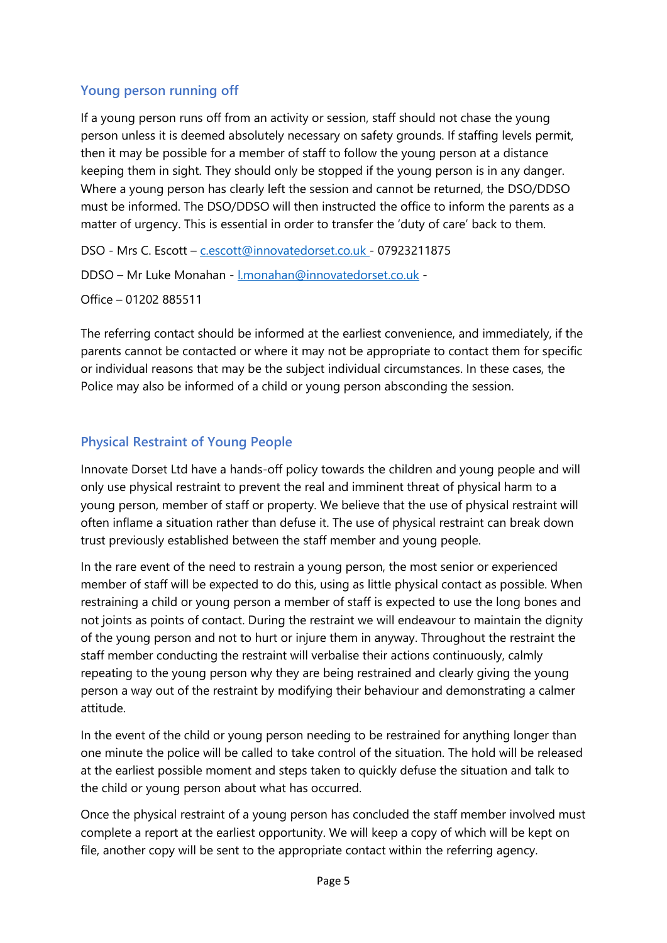## **Young person running off**

If a young person runs off from an activity or session, staff should not chase the young person unless it is deemed absolutely necessary on safety grounds. If staffing levels permit, then it may be possible for a member of staff to follow the young person at a distance keeping them in sight. They should only be stopped if the young person is in any danger. Where a young person has clearly left the session and cannot be returned, the DSO/DDSO must be informed. The DSO/DDSO will then instructed the office to inform the parents as a matter of urgency. This is essential in order to transfer the 'duty of care' back to them.

DSO - Mrs C. Escott – [c.escott@innovatedorset.co.uk -](mailto:c.escott@innovatedorset.co.uk) 07923211875

DDSO – Mr Luke Monahan - [l.monahan@innovatedorset.co.uk](mailto:l.monahan@innovatedorset.co.uk) -

Office – 01202 885511

The referring contact should be informed at the earliest convenience, and immediately, if the parents cannot be contacted or where it may not be appropriate to contact them for specific or individual reasons that may be the subject individual circumstances. In these cases, the Police may also be informed of a child or young person absconding the session.

# **Physical Restraint of Young People**

Innovate Dorset Ltd have a hands-off policy towards the children and young people and will only use physical restraint to prevent the real and imminent threat of physical harm to a young person, member of staff or property. We believe that the use of physical restraint will often inflame a situation rather than defuse it. The use of physical restraint can break down trust previously established between the staff member and young people.

In the rare event of the need to restrain a young person, the most senior or experienced member of staff will be expected to do this, using as little physical contact as possible. When restraining a child or young person a member of staff is expected to use the long bones and not joints as points of contact. During the restraint we will endeavour to maintain the dignity of the young person and not to hurt or injure them in anyway. Throughout the restraint the staff member conducting the restraint will verbalise their actions continuously, calmly repeating to the young person why they are being restrained and clearly giving the young person a way out of the restraint by modifying their behaviour and demonstrating a calmer attitude.

In the event of the child or young person needing to be restrained for anything longer than one minute the police will be called to take control of the situation. The hold will be released at the earliest possible moment and steps taken to quickly defuse the situation and talk to the child or young person about what has occurred.

Once the physical restraint of a young person has concluded the staff member involved must complete a report at the earliest opportunity. We will keep a copy of which will be kept on file, another copy will be sent to the appropriate contact within the referring agency.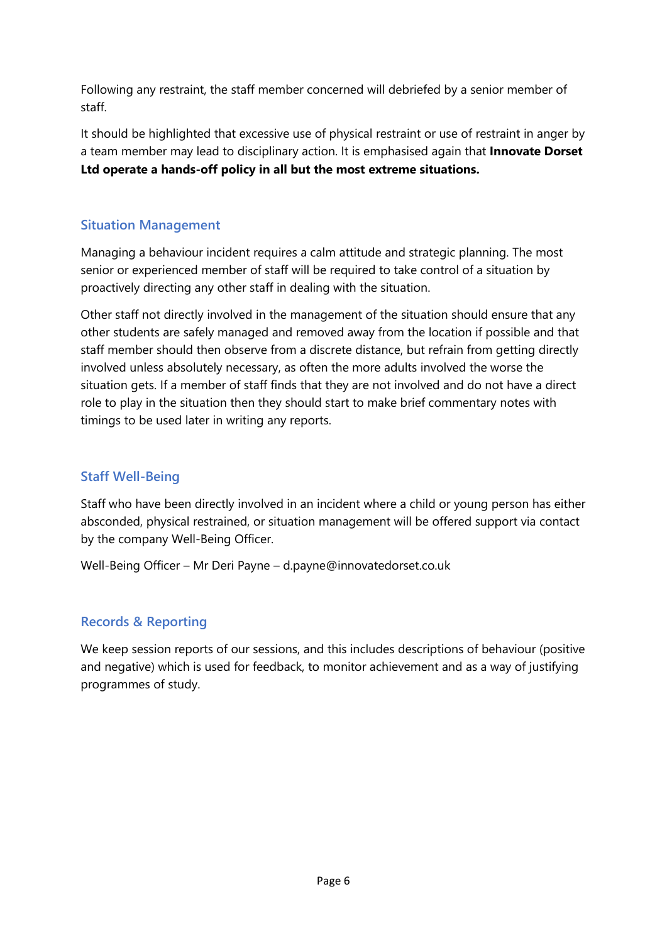Following any restraint, the staff member concerned will debriefed by a senior member of staff.

It should be highlighted that excessive use of physical restraint or use of restraint in anger by a team member may lead to disciplinary action. It is emphasised again that **Innovate Dorset Ltd operate a hands-off policy in all but the most extreme situations.**

## **Situation Management**

Managing a behaviour incident requires a calm attitude and strategic planning. The most senior or experienced member of staff will be required to take control of a situation by proactively directing any other staff in dealing with the situation.

Other staff not directly involved in the management of the situation should ensure that any other students are safely managed and removed away from the location if possible and that staff member should then observe from a discrete distance, but refrain from getting directly involved unless absolutely necessary, as often the more adults involved the worse the situation gets. If a member of staff finds that they are not involved and do not have a direct role to play in the situation then they should start to make brief commentary notes with timings to be used later in writing any reports.

## **Staff Well-Being**

Staff who have been directly involved in an incident where a child or young person has either absconded, physical restrained, or situation management will be offered support via contact by the company Well-Being Officer.

Well-Being Officer – Mr Deri Payne – d.payne@innovatedorset.co.uk

## **Records & Reporting**

We keep session reports of our sessions, and this includes descriptions of behaviour (positive and negative) which is used for feedback, to monitor achievement and as a way of justifying programmes of study.